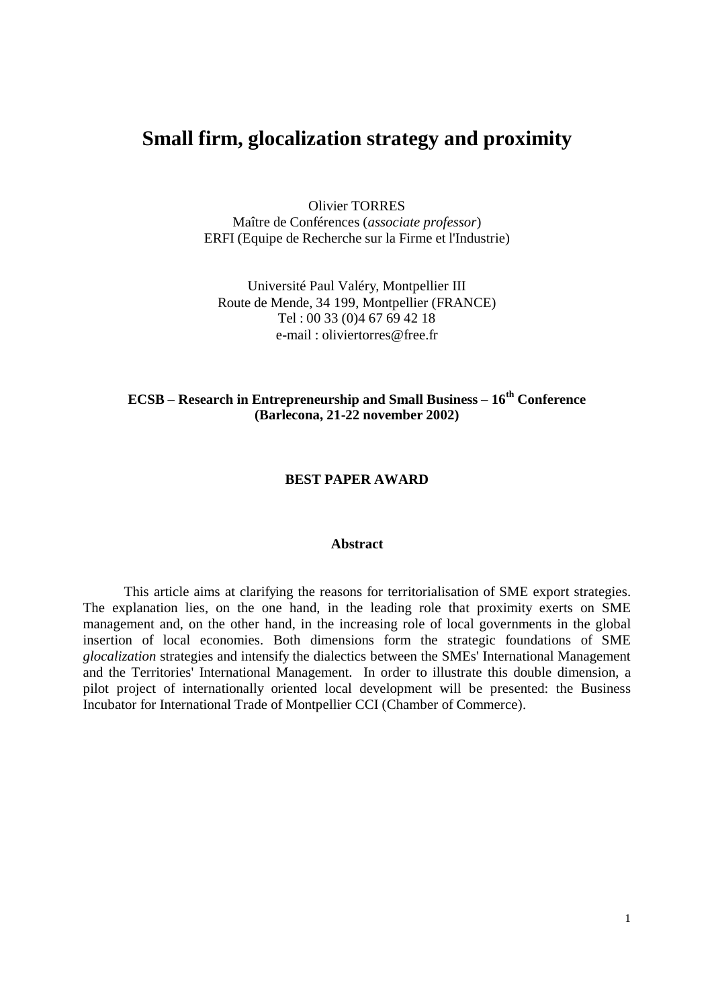# **Small firm, glocalization strategy and proximity**

Olivier TORRES Maître de Conférences (*associate professor*) ERFI (Equipe de Recherche sur la Firme et l'Industrie)

Université Paul Valéry, Montpellier III Route de Mende, 34 199, Montpellier (FRANCE) Tel : 00 33 (0)4 67 69 42 18 e-mail : oliviertorres@free.fr

# **ECSB – Research in Entrepreneurship and Small Business – 16th Conference (Barlecona, 21-22 november 2002)**

## **BEST PAPER AWARD**

#### **Abstract**

This article aims at clarifying the reasons for territorialisation of SME export strategies. The explanation lies, on the one hand, in the leading role that proximity exerts on SME management and, on the other hand, in the increasing role of local governments in the global insertion of local economies. Both dimensions form the strategic foundations of SME *glocalization* strategies and intensify the dialectics between the SMEs' International Management and the Territories' International Management. In order to illustrate this double dimension, a pilot project of internationally oriented local development will be presented: the Business Incubator for International Trade of Montpellier CCI (Chamber of Commerce).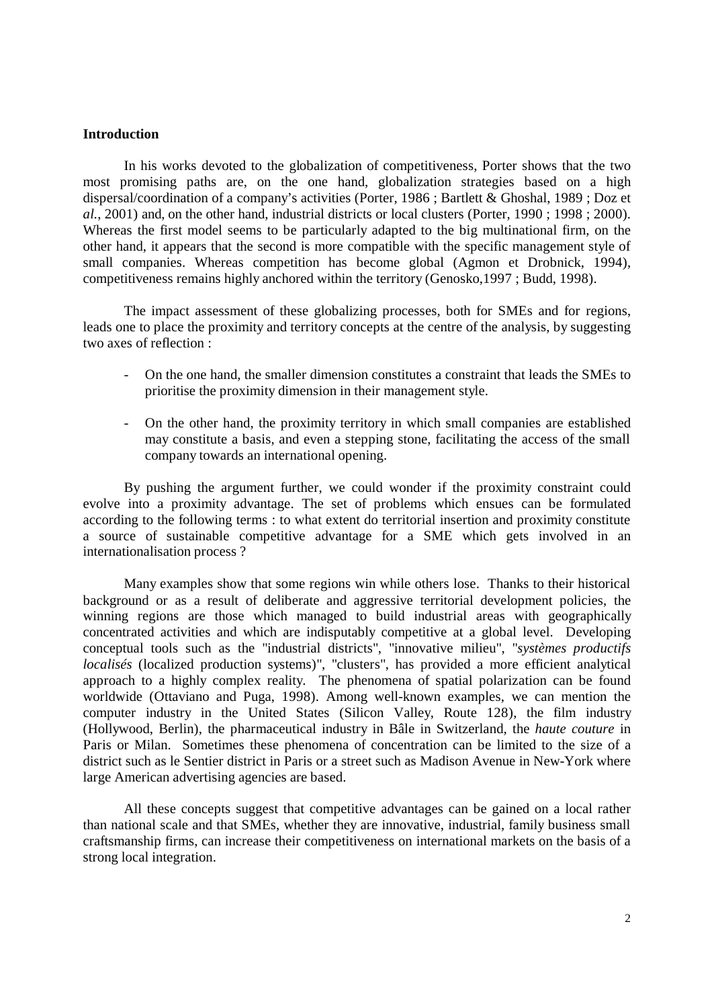#### **Introduction**

In his works devoted to the globalization of competitiveness, Porter shows that the two most promising paths are, on the one hand, globalization strategies based on a high dispersal/coordination of a company's activities (Porter, 1986 ; Bartlett & Ghoshal, 1989 ; Doz et *al.*, 2001) and, on the other hand, industrial districts or local clusters (Porter, 1990 ; 1998 ; 2000). Whereas the first model seems to be particularly adapted to the big multinational firm, on the other hand, it appears that the second is more compatible with the specific management style of small companies. Whereas competition has become global (Agmon et Drobnick, 1994), competitiveness remains highly anchored within the territory (Genosko,1997 ; Budd, 1998).

The impact assessment of these globalizing processes, both for SMEs and for regions, leads one to place the proximity and territory concepts at the centre of the analysis, by suggesting two axes of reflection :

- On the one hand, the smaller dimension constitutes a constraint that leads the SMEs to prioritise the proximity dimension in their management style.
- On the other hand, the proximity territory in which small companies are established may constitute a basis, and even a stepping stone, facilitating the access of the small company towards an international opening.

By pushing the argument further, we could wonder if the proximity constraint could evolve into a proximity advantage. The set of problems which ensues can be formulated according to the following terms : to what extent do territorial insertion and proximity constitute a source of sustainable competitive advantage for a SME which gets involved in an internationalisation process ?

Many examples show that some regions win while others lose. Thanks to their historical background or as a result of deliberate and aggressive territorial development policies, the winning regions are those which managed to build industrial areas with geographically concentrated activities and which are indisputably competitive at a global level. Developing conceptual tools such as the "industrial districts", "innovative milieu", "*systèmes productifs localisés* (localized production systems)", "clusters", has provided a more efficient analytical approach to a highly complex reality. The phenomena of spatial polarization can be found worldwide (Ottaviano and Puga, 1998). Among well-known examples, we can mention the computer industry in the United States (Silicon Valley, Route 128), the film industry (Hollywood, Berlin), the pharmaceutical industry in Bâle in Switzerland, the *haute couture* in Paris or Milan. Sometimes these phenomena of concentration can be limited to the size of a district such as le Sentier district in Paris or a street such as Madison Avenue in New-York where large American advertising agencies are based.

All these concepts suggest that competitive advantages can be gained on a local rather than national scale and that SMEs, whether they are innovative, industrial, family business small craftsmanship firms, can increase their competitiveness on international markets on the basis of a strong local integration.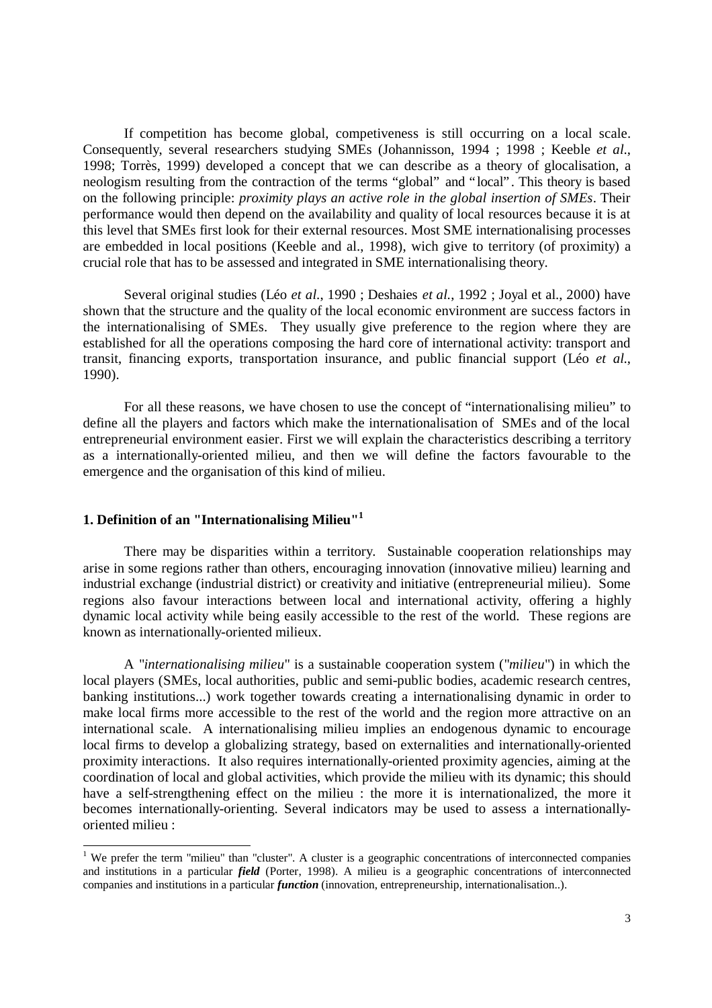If competition has become global, competiveness is still occurring on a local scale. Consequently, several researchers studying SMEs (Johannisson, 1994 ; 1998 ; Keeble *et al.*, 1998; Torrès, 1999) developed a concept that we can describe as a theory of glocalisation, a neologism resulting from the contraction of the terms "global" and "local". This theory is based on the following principle: *proximity plays an active role in the global insertion of SMEs*. Their performance would then depend on the availability and quality of local resources because it is at this level that SMEs first look for their external resources. Most SME internationalising processes are embedded in local positions (Keeble and al., 1998), wich give to territory (of proximity) a crucial role that has to be assessed and integrated in SME internationalising theory.

Several original studies (Léo *et al.*, 1990 ; Deshaies *et al.*, 1992 ; Joyal et al., 2000) have shown that the structure and the quality of the local economic environment are success factors in the internationalising of SMEs. They usually give preference to the region where they are established for all the operations composing the hard core of international activity: transport and transit, financing exports, transportation insurance, and public financial support (Léo *et al.*, 1990).

For all these reasons, we have chosen to use the concept of "internationalising milieu" to define all the players and factors which make the internationalisation of SMEs and of the local entrepreneurial environment easier. First we will explain the characteristics describing a territory as a internationally-oriented milieu, and then we will define the factors favourable to the emergence and the organisation of this kind of milieu.

#### **1. Definition of an "Internationalising Milieu"<sup>1</sup>**

There may be disparities within a territory. Sustainable cooperation relationships may arise in some regions rather than others, encouraging innovation (innovative milieu) learning and industrial exchange (industrial district) or creativity and initiative (entrepreneurial milieu). Some regions also favour interactions between local and international activity, offering a highly dynamic local activity while being easily accessible to the rest of the world. These regions are known as internationally-oriented milieux.

A "*internationalising milieu*" is a sustainable cooperation system ("*milieu*") in which the local players (SMEs, local authorities, public and semi-public bodies, academic research centres, banking institutions...) work together towards creating a internationalising dynamic in order to make local firms more accessible to the rest of the world and the region more attractive on an international scale. A internationalising milieu implies an endogenous dynamic to encourage local firms to develop a globalizing strategy, based on externalities and internationally-oriented proximity interactions. It also requires internationally-oriented proximity agencies, aiming at the coordination of local and global activities, which provide the milieu with its dynamic; this should have a self-strengthening effect on the milieu : the more it is internationalized, the more it becomes internationally-orienting. Several indicators may be used to assess a internationallyoriented milieu :

We prefer the term "milieu" than "cluster". A cluster is a geographic concentrations of interconnected companies and institutions in a particular *field* (Porter, 1998). A milieu is a geographic concentrations of interconnected companies and institutions in a particular *function* (innovation, entrepreneurship, internationalisation..).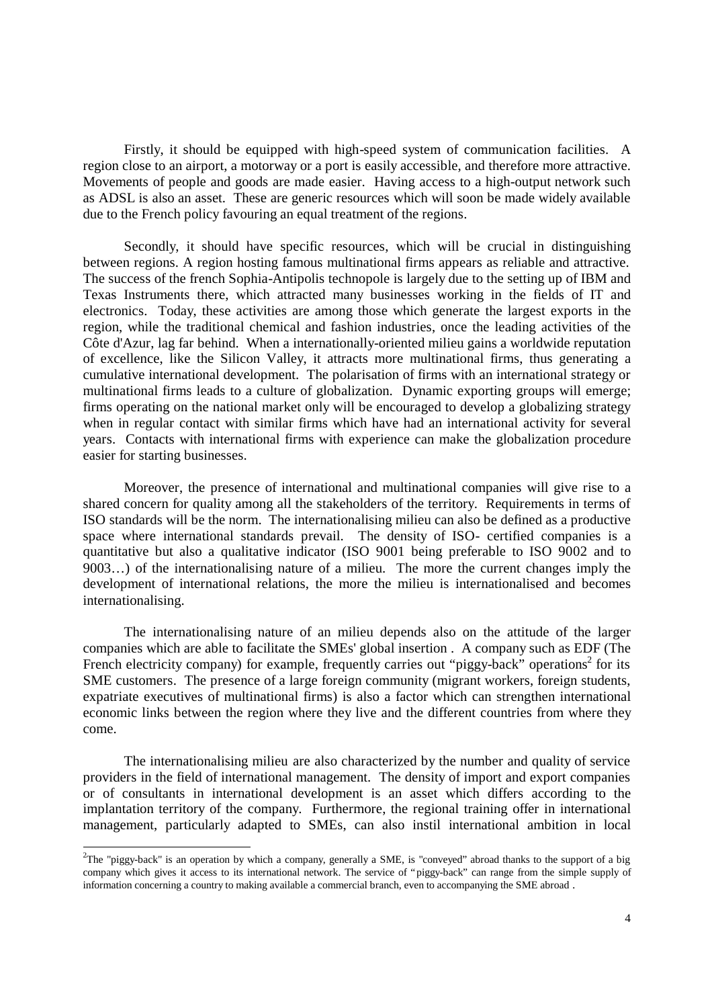Firstly, it should be equipped with high-speed system of communication facilities. A region close to an airport, a motorway or a port is easily accessible, and therefore more attractive. Movements of people and goods are made easier. Having access to a high-output network such as ADSL is also an asset. These are generic resources which will soon be made widely available due to the French policy favouring an equal treatment of the regions.

Secondly, it should have specific resources, which will be crucial in distinguishing between regions. A region hosting famous multinational firms appears as reliable and attractive. The success of the french Sophia-Antipolis technopole is largely due to the setting up of IBM and Texas Instruments there, which attracted many businesses working in the fields of IT and electronics. Today, these activities are among those which generate the largest exports in the region, while the traditional chemical and fashion industries, once the leading activities of the Côte d'Azur, lag far behind. When a internationally-oriented milieu gains a worldwide reputation of excellence, like the Silicon Valley, it attracts more multinational firms, thus generating a cumulative international development. The polarisation of firms with an international strategy or multinational firms leads to a culture of globalization. Dynamic exporting groups will emerge; firms operating on the national market only will be encouraged to develop a globalizing strategy when in regular contact with similar firms which have had an international activity for several years. Contacts with international firms with experience can make the globalization procedure easier for starting businesses.

Moreover, the presence of international and multinational companies will give rise to a shared concern for quality among all the stakeholders of the territory. Requirements in terms of ISO standards will be the norm. The internationalising milieu can also be defined as a productive space where international standards prevail. The density of ISO- certified companies is a quantitative but also a qualitative indicator (ISO 9001 being preferable to ISO 9002 and to 9003… ) of the internationalising nature of a milieu. The more the current changes imply the development of international relations, the more the milieu is internationalised and becomes internationalising.

The internationalising nature of an milieu depends also on the attitude of the larger companies which are able to facilitate the SMEs' global insertion . A company such as EDF (The French electricity company) for example, frequently carries out "piggy-back" operations<sup>2</sup> for its SME customers. The presence of a large foreign community (migrant workers, foreign students, expatriate executives of multinational firms) is also a factor which can strengthen international economic links between the region where they live and the different countries from where they come.

The internationalising milieu are also characterized by the number and quality of service providers in the field of international management. The density of import and export companies or of consultants in international development is an asset which differs according to the implantation territory of the company. Furthermore, the regional training offer in international management, particularly adapted to SMEs, can also instil international ambition in local

-

<sup>&</sup>lt;sup>2</sup>The "piggy-back" is an operation by which a company, generally a SME, is "conveyed" abroad thanks to the support of a big company which gives it access to its international network. The service of "piggy-back" can range from the simple supply of information concerning a country to making available a commercial branch, even to accompanying the SME abroad .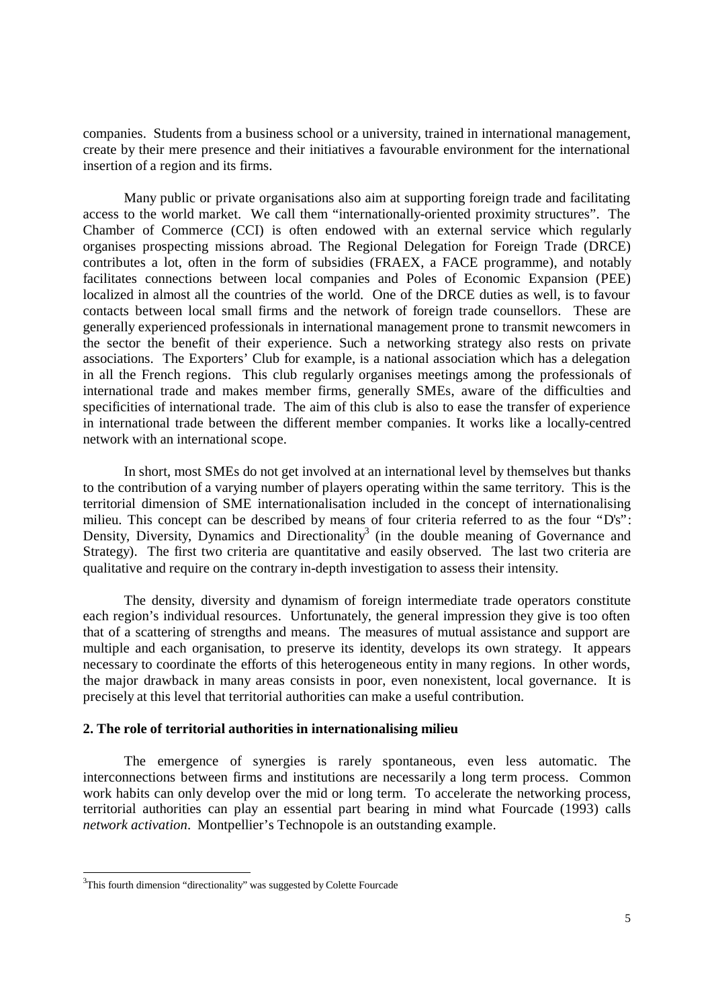companies. Students from a business school or a university, trained in international management, create by their mere presence and their initiatives a favourable environment for the international insertion of a region and its firms.

Many public or private organisations also aim at supporting foreign trade and facilitating access to the world market. We call them "internationally-oriented proximity structures". The Chamber of Commerce (CCI) is often endowed with an external service which regularly organises prospecting missions abroad. The Regional Delegation for Foreign Trade (DRCE) contributes a lot, often in the form of subsidies (FRAEX, a FACE programme), and notably facilitates connections between local companies and Poles of Economic Expansion (PEE) localized in almost all the countries of the world. One of the DRCE duties as well, is to favour contacts between local small firms and the network of foreign trade counsellors. These are generally experienced professionals in international management prone to transmit newcomers in the sector the benefit of their experience. Such a networking strategy also rests on private associations. The Exporters' Club for example, is a national association which has a delegation in all the French regions. This club regularly organises meetings among the professionals of international trade and makes member firms, generally SMEs, aware of the difficulties and specificities of international trade. The aim of this club is also to ease the transfer of experience in international trade between the different member companies. It works like a locally-centred network with an international scope.

In short, most SMEs do not get involved at an international level by themselves but thanks to the contribution of a varying number of players operating within the same territory. This is the territorial dimension of SME internationalisation included in the concept of internationalising milieu. This concept can be described by means of four criteria referred to as the four "D's": Density, Diversity, Dynamics and Directionality<sup>3</sup> (in the double meaning of Governance and Strategy). The first two criteria are quantitative and easily observed. The last two criteria are qualitative and require on the contrary in-depth investigation to assess their intensity.

The density, diversity and dynamism of foreign intermediate trade operators constitute each region's individual resources. Unfortunately, the general impression they give is too often that of a scattering of strengths and means. The measures of mutual assistance and support are multiple and each organisation, to preserve its identity, develops its own strategy. It appears necessary to coordinate the efforts of this heterogeneous entity in many regions. In other words, the major drawback in many areas consists in poor, even nonexistent, local governance. It is precisely at this level that territorial authorities can make a useful contribution.

#### **2. The role of territorial authorities in internationalising milieu**

The emergence of synergies is rarely spontaneous, even less automatic. The interconnections between firms and institutions are necessarily a long term process. Common work habits can only develop over the mid or long term. To accelerate the networking process, territorial authorities can play an essential part bearing in mind what Fourcade (1993) calls *network activation*. Montpellier's Technopole is an outstanding example.

1

 $3$ This fourth dimension "directionality" was suggested by Colette Fourcade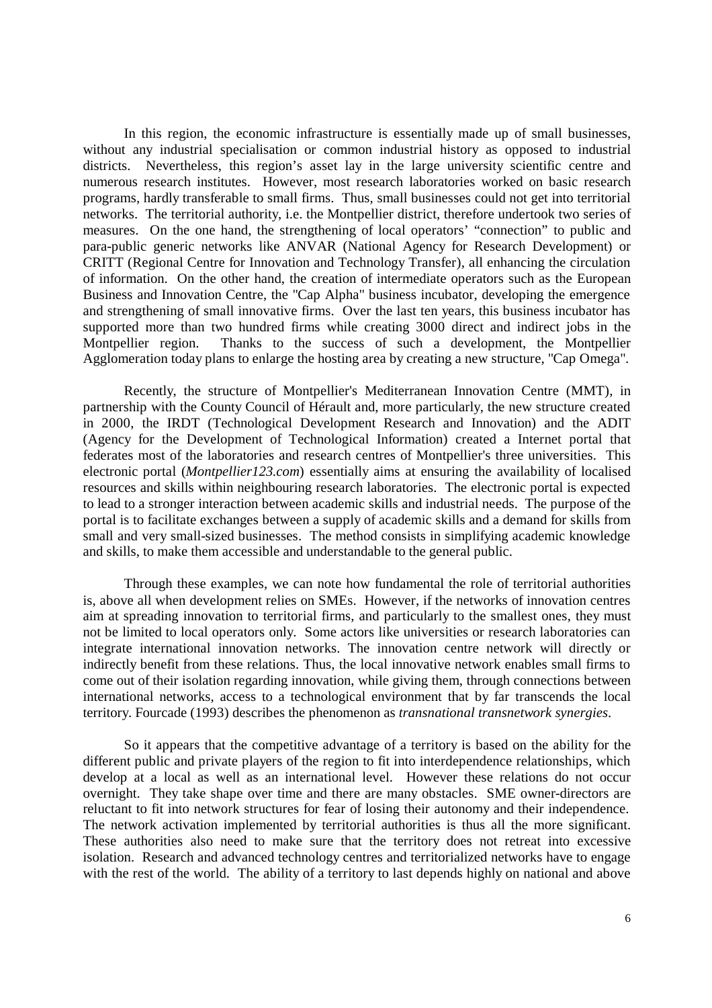In this region, the economic infrastructure is essentially made up of small businesses, without any industrial specialisation or common industrial history as opposed to industrial districts. Nevertheless, this region's asset lay in the large university scientific centre and numerous research institutes. However, most research laboratories worked on basic research programs, hardly transferable to small firms. Thus, small businesses could not get into territorial networks. The territorial authority, i.e. the Montpellier district, therefore undertook two series of measures. On the one hand, the strengthening of local operators' "connection" to public and para-public generic networks like ANVAR (National Agency for Research Development) or CRITT (Regional Centre for Innovation and Technology Transfer), all enhancing the circulation of information. On the other hand, the creation of intermediate operators such as the European Business and Innovation Centre, the "Cap Alpha" business incubator, developing the emergence and strengthening of small innovative firms. Over the last ten years, this business incubator has supported more than two hundred firms while creating 3000 direct and indirect jobs in the Montpellier region. Thanks to the success of such a development, the Montpellier Agglomeration today plans to enlarge the hosting area by creating a new structure, "Cap Omega".

Recently, the structure of Montpellier's Mediterranean Innovation Centre (MMT), in partnership with the County Council of Hérault and, more particularly, the new structure created in 2000, the IRDT (Technological Development Research and Innovation) and the ADIT (Agency for the Development of Technological Information) created a Internet portal that federates most of the laboratories and research centres of Montpellier's three universities. This electronic portal (*Montpellier123.com*) essentially aims at ensuring the availability of localised resources and skills within neighbouring research laboratories. The electronic portal is expected to lead to a stronger interaction between academic skills and industrial needs. The purpose of the portal is to facilitate exchanges between a supply of academic skills and a demand for skills from small and very small-sized businesses. The method consists in simplifying academic knowledge and skills, to make them accessible and understandable to the general public.

Through these examples, we can note how fundamental the role of territorial authorities is, above all when development relies on SMEs. However, if the networks of innovation centres aim at spreading innovation to territorial firms, and particularly to the smallest ones, they must not be limited to local operators only. Some actors like universities or research laboratories can integrate international innovation networks. The innovation centre network will directly or indirectly benefit from these relations. Thus, the local innovative network enables small firms to come out of their isolation regarding innovation, while giving them, through connections between international networks, access to a technological environment that by far transcends the local territory. Fourcade (1993) describes the phenomenon as *transnational transnetwork synergies*.

So it appears that the competitive advantage of a territory is based on the ability for the different public and private players of the region to fit into interdependence relationships, which develop at a local as well as an international level. However these relations do not occur overnight. They take shape over time and there are many obstacles. SME owner-directors are reluctant to fit into network structures for fear of losing their autonomy and their independence. The network activation implemented by territorial authorities is thus all the more significant. These authorities also need to make sure that the territory does not retreat into excessive isolation. Research and advanced technology centres and territorialized networks have to engage with the rest of the world. The ability of a territory to last depends highly on national and above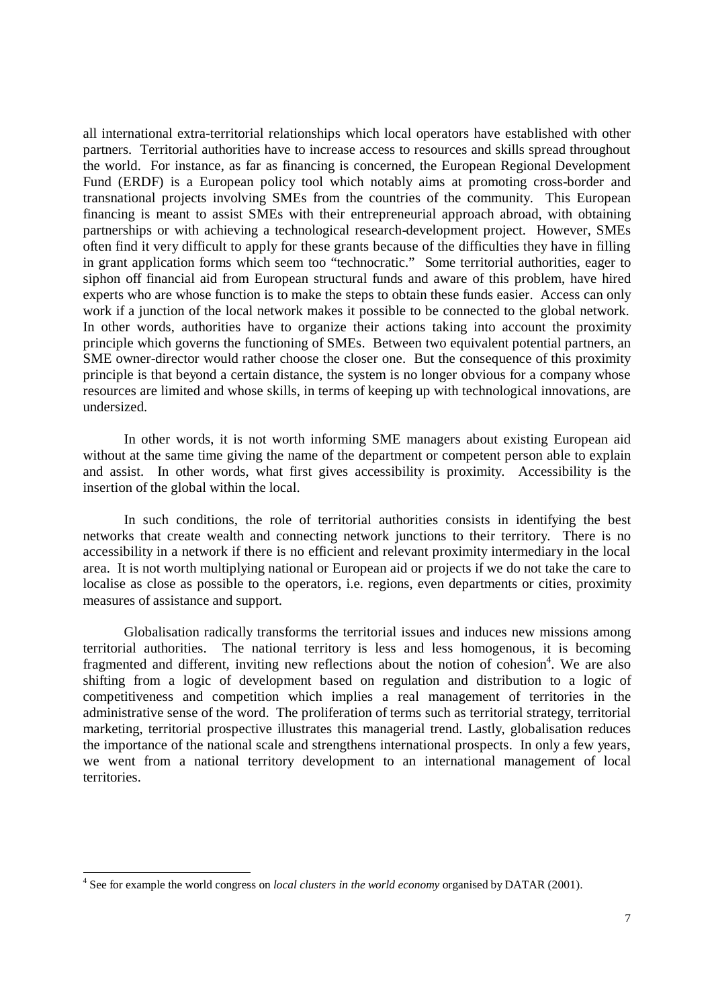all international extra-territorial relationships which local operators have established with other partners. Territorial authorities have to increase access to resources and skills spread throughout the world. For instance, as far as financing is concerned, the European Regional Development Fund (ERDF) is a European policy tool which notably aims at promoting cross-border and transnational projects involving SMEs from the countries of the community. This European financing is meant to assist SMEs with their entrepreneurial approach abroad, with obtaining partnerships or with achieving a technological research-development project. However, SMEs often find it very difficult to apply for these grants because of the difficulties they have in filling in grant application forms which seem too "technocratic." Some territorial authorities, eager to siphon off financial aid from European structural funds and aware of this problem, have hired experts who are whose function is to make the steps to obtain these funds easier. Access can only work if a junction of the local network makes it possible to be connected to the global network. In other words, authorities have to organize their actions taking into account the proximity principle which governs the functioning of SMEs. Between two equivalent potential partners, an SME owner-director would rather choose the closer one. But the consequence of this proximity principle is that beyond a certain distance, the system is no longer obvious for a company whose resources are limited and whose skills, in terms of keeping up with technological innovations, are undersized.

In other words, it is not worth informing SME managers about existing European aid without at the same time giving the name of the department or competent person able to explain and assist. In other words, what first gives accessibility is proximity. Accessibility is the insertion of the global within the local.

In such conditions, the role of territorial authorities consists in identifying the best networks that create wealth and connecting network junctions to their territory. There is no accessibility in a network if there is no efficient and relevant proximity intermediary in the local area. It is not worth multiplying national or European aid or projects if we do not take the care to localise as close as possible to the operators, i.e. regions, even departments or cities, proximity measures of assistance and support.

Globalisation radically transforms the territorial issues and induces new missions among territorial authorities. The national territory is less and less homogenous, it is becoming fragmented and different, inviting new reflections about the notion of cohesion<sup>4</sup>. We are also shifting from a logic of development based on regulation and distribution to a logic of competitiveness and competition which implies a real management of territories in the administrative sense of the word. The proliferation of terms such as territorial strategy, territorial marketing, territorial prospective illustrates this managerial trend. Lastly, globalisation reduces the importance of the national scale and strengthens international prospects. In only a few years, we went from a national territory development to an international management of local territories.

 4 See for example the world congress on *local clusters in the world economy* organised by DATAR (2001).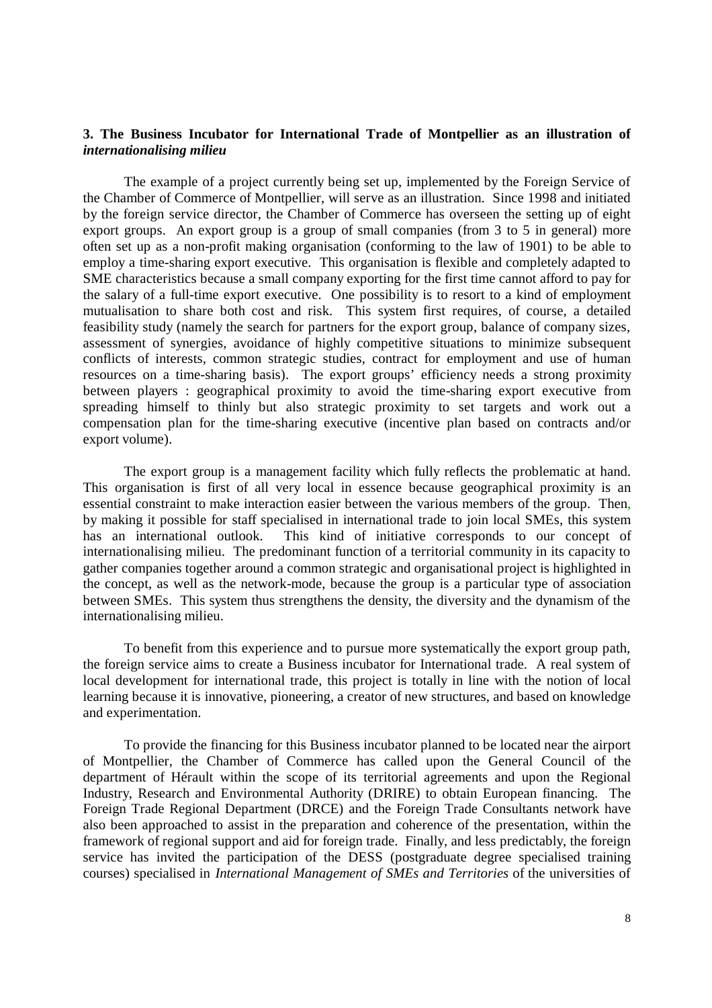## **3. The Business Incubator for International Trade of Montpellier as an illustration of** *internationalising milieu*

The example of a project currently being set up, implemented by the Foreign Service of the Chamber of Commerce of Montpellier, will serve as an illustration. Since 1998 and initiated by the foreign service director, the Chamber of Commerce has overseen the setting up of eight export groups. An export group is a group of small companies (from 3 to 5 in general) more often set up as a non-profit making organisation (conforming to the law of 1901) to be able to employ a time-sharing export executive. This organisation is flexible and completely adapted to SME characteristics because a small company exporting for the first time cannot afford to pay for the salary of a full-time export executive. One possibility is to resort to a kind of employment mutualisation to share both cost and risk. This system first requires, of course, a detailed feasibility study (namely the search for partners for the export group, balance of company sizes, assessment of synergies, avoidance of highly competitive situations to minimize subsequent conflicts of interests, common strategic studies, contract for employment and use of human resources on a time-sharing basis). The export groups' efficiency needs a strong proximity between players : geographical proximity to avoid the time-sharing export executive from spreading himself to thinly but also strategic proximity to set targets and work out a compensation plan for the time-sharing executive (incentive plan based on contracts and/or export volume).

The export group is a management facility which fully reflects the problematic at hand. This organisation is first of all very local in essence because geographical proximity is an essential constraint to make interaction easier between the various members of the group. Then, by making it possible for staff specialised in international trade to join local SMEs, this system has an international outlook. This kind of initiative corresponds to our concept of internationalising milieu. The predominant function of a territorial community in its capacity to gather companies together around a common strategic and organisational project is highlighted in the concept, as well as the network-mode, because the group is a particular type of association between SMEs. This system thus strengthens the density, the diversity and the dynamism of the internationalising milieu.

To benefit from this experience and to pursue more systematically the export group path, the foreign service aims to create a Business incubator for International trade. A real system of local development for international trade, this project is totally in line with the notion of local learning because it is innovative, pioneering, a creator of new structures, and based on knowledge and experimentation.

To provide the financing for this Business incubator planned to be located near the airport of Montpellier, the Chamber of Commerce has called upon the General Council of the department of Hérault within the scope of its territorial agreements and upon the Regional Industry, Research and Environmental Authority (DRIRE) to obtain European financing. The Foreign Trade Regional Department (DRCE) and the Foreign Trade Consultants network have also been approached to assist in the preparation and coherence of the presentation, within the framework of regional support and aid for foreign trade. Finally, and less predictably, the foreign service has invited the participation of the DESS (postgraduate degree specialised training courses) specialised in *International Management of SMEs and Territories* of the universities of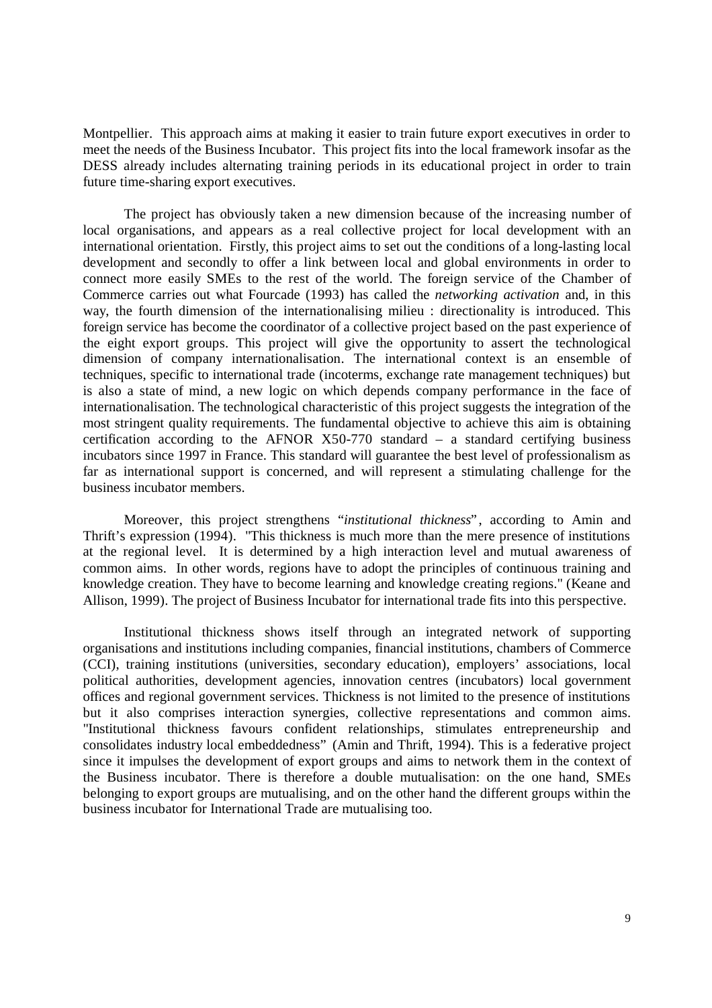Montpellier. This approach aims at making it easier to train future export executives in order to meet the needs of the Business Incubator. This project fits into the local framework insofar as the DESS already includes alternating training periods in its educational project in order to train future time-sharing export executives.

The project has obviously taken a new dimension because of the increasing number of local organisations, and appears as a real collective project for local development with an international orientation. Firstly, this project aims to set out the conditions of a long-lasting local development and secondly to offer a link between local and global environments in order to connect more easily SMEs to the rest of the world. The foreign service of the Chamber of Commerce carries out what Fourcade (1993) has called the *networking activation* and, in this way, the fourth dimension of the internationalising milieu : directionality is introduced. This foreign service has become the coordinator of a collective project based on the past experience of the eight export groups. This project will give the opportunity to assert the technological dimension of company internationalisation. The international context is an ensemble of techniques, specific to international trade (incoterms, exchange rate management techniques) but is also a state of mind, a new logic on which depends company performance in the face of internationalisation. The technological characteristic of this project suggests the integration of the most stringent quality requirements. The fundamental objective to achieve this aim is obtaining certification according to the AFNOR  $X50-770$  standard – a standard certifying business incubators since 1997 in France. This standard will guarantee the best level of professionalism as far as international support is concerned, and will represent a stimulating challenge for the business incubator members.

Moreover, this project strengthens "*institutional thickness*", according to Amin and Thrift's expression (1994). "This thickness is much more than the mere presence of institutions at the regional level. It is determined by a high interaction level and mutual awareness of common aims. In other words, regions have to adopt the principles of continuous training and knowledge creation. They have to become learning and knowledge creating regions." (Keane and Allison, 1999). The project of Business Incubator for international trade fits into this perspective.

Institutional thickness shows itself through an integrated network of supporting organisations and institutions including companies, financial institutions, chambers of Commerce (CCI), training institutions (universities, secondary education), employers' associations, local political authorities, development agencies, innovation centres (incubators) local government offices and regional government services. Thickness is not limited to the presence of institutions but it also comprises interaction synergies, collective representations and common aims. "Institutional thickness favours confident relationships, stimulates entrepreneurship and consolidates industry local embeddedness" (Amin and Thrift, 1994). This is a federative project since it impulses the development of export groups and aims to network them in the context of the Business incubator. There is therefore a double mutualisation: on the one hand, SMEs belonging to export groups are mutualising, and on the other hand the different groups within the business incubator for International Trade are mutualising too.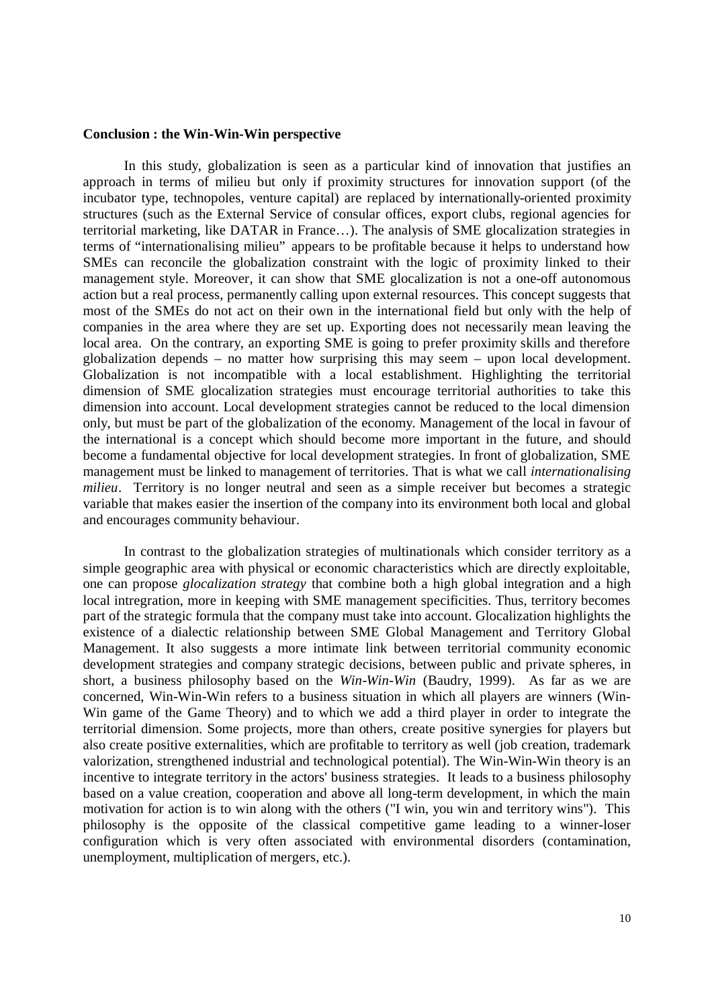#### **Conclusion : the Win-Win-Win perspective**

In this study, globalization is seen as a particular kind of innovation that justifies an approach in terms of milieu but only if proximity structures for innovation support (of the incubator type, technopoles, venture capital) are replaced by internationally-oriented proximity structures (such as the External Service of consular offices, export clubs, regional agencies for territorial marketing, like DATAR in France… ). The analysis of SME glocalization strategies in terms of "internationalising milieu" appears to be profitable because it helps to understand how SMEs can reconcile the globalization constraint with the logic of proximity linked to their management style. Moreover, it can show that SME glocalization is not a one-off autonomous action but a real process, permanently calling upon external resources. This concept suggests that most of the SMEs do not act on their own in the international field but only with the help of companies in the area where they are set up. Exporting does not necessarily mean leaving the local area. On the contrary, an exporting SME is going to prefer proximity skills and therefore globalization depends – no matter how surprising this may seem – upon local development. Globalization is not incompatible with a local establishment. Highlighting the territorial dimension of SME glocalization strategies must encourage territorial authorities to take this dimension into account. Local development strategies cannot be reduced to the local dimension only, but must be part of the globalization of the economy. Management of the local in favour of the international is a concept which should become more important in the future, and should become a fundamental objective for local development strategies. In front of globalization, SME management must be linked to management of territories. That is what we call *internationalising milieu*. Territory is no longer neutral and seen as a simple receiver but becomes a strategic variable that makes easier the insertion of the company into its environment both local and global and encourages community behaviour.

In contrast to the globalization strategies of multinationals which consider territory as a simple geographic area with physical or economic characteristics which are directly exploitable, one can propose *glocalization strategy* that combine both a high global integration and a high local intregration, more in keeping with SME management specificities. Thus, territory becomes part of the strategic formula that the company must take into account. Glocalization highlights the existence of a dialectic relationship between SME Global Management and Territory Global Management. It also suggests a more intimate link between territorial community economic development strategies and company strategic decisions, between public and private spheres, in short, a business philosophy based on the *Win-Win-Win* (Baudry, 1999). As far as we are concerned, Win-Win-Win refers to a business situation in which all players are winners (Win-Win game of the Game Theory) and to which we add a third player in order to integrate the territorial dimension. Some projects, more than others, create positive synergies for players but also create positive externalities, which are profitable to territory as well (job creation, trademark valorization, strengthened industrial and technological potential). The Win-Win-Win theory is an incentive to integrate territory in the actors' business strategies. It leads to a business philosophy based on a value creation, cooperation and above all long-term development, in which the main motivation for action is to win along with the others ("I win, you win and territory wins"). This philosophy is the opposite of the classical competitive game leading to a winner-loser configuration which is very often associated with environmental disorders (contamination, unemployment, multiplication of mergers, etc.).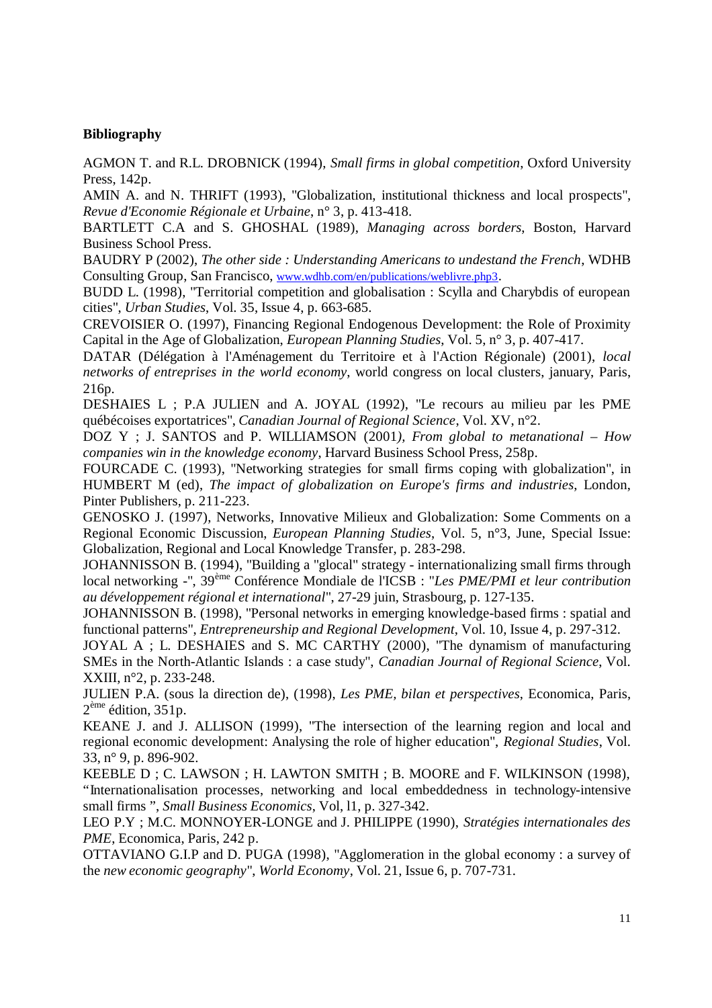# **Bibliography**

AGMON T. and R.L. DROBNICK (1994), *Small firms in global competition*, Oxford University Press, 142p.

AMIN A. and N. THRIFT (1993), "Globalization, institutional thickness and local prospects", *Revue d'Economie Régionale et Urbaine*, n° 3, p. 413-418.

BARTLETT C.A and S. GHOSHAL (1989), *Managing across borders*, Boston, Harvard Business School Press.

BAUDRY P (2002), *The other side : Understanding Americans to undestand the French*, WDHB Consulting Group, San Francisco, www.wdhb.com/en/publications/weblivre.php3.

BUDD L. (1998), "Territorial competition and globalisation : Scylla and Charybdis of european cities", *Urban Studies*, Vol. 35, Issue 4, p. 663-685.

CREVOISIER O. (1997), Financing Regional Endogenous Development: the Role of Proximity Capital in the Age of Globalization, *European Planning Studies*, Vol. 5, n° 3, p. 407-417.

DATAR (Délégation à l'Aménagement du Territoire et à l'Action Régionale) (2001), *local networks of entreprises in the world economy*, world congress on local clusters, january, Paris, 216p.

DESHAIES L ; P.A JULIEN and A. JOYAL (1992), "Le recours au milieu par les PME québécoises exportatrices", *Canadian Journal of Regional Science*, Vol. XV, n°2.

DOZ Y ; J. SANTOS and P. WILLIAMSON (2001*), From global to metanational – How companies win in the knowledge economy*, Harvard Business School Press, 258p.

FOURCADE C. (1993), "Networking strategies for small firms coping with globalization", in HUMBERT M (ed), *The impact of globalization on Europe's firms and industries*, London, Pinter Publishers, p. 211-223.

GENOSKO J. (1997), Networks, Innovative Milieux and Globalization: Some Comments on a Regional Economic Discussion, *European Planning Studies*, Vol. 5, n°3, June, Special Issue: Globalization, Regional and Local Knowledge Transfer, p. 283-298.

JOHANNISSON B. (1994), "Building a "glocal" strategy - internationalizing small firms through local networking -", 39ème Conférence Mondiale de l'ICSB : "*Les PME/PMI et leur contribution au développement régional et international*", 27-29 juin, Strasbourg, p. 127-135.

JOHANNISSON B. (1998), "Personal networks in emerging knowledge-based firms : spatial and functional patterns", *Entrepreneurship and Regional Development*, Vol. 10, Issue 4, p. 297-312.

JOYAL A ; L. DESHAIES and S. MC CARTHY (2000), "The dynamism of manufacturing SMEs in the North-Atlantic Islands : a case study", *Canadian Journal of Regional Science*, Vol. XXIII, n°2, p. 233-248.

JULIEN P.A. (sous la direction de), (1998), *Les PME, bilan et perspectives*, Economica, Paris,  $2<sup>ème</sup> édition, 351p.$ 

KEANE J. and J. ALLISON (1999), "The intersection of the learning region and local and regional economic development: Analysing the role of higher education", *Regional Studies*, Vol. 33, n° 9, p. 896-902.

KEEBLE D ; C. LAWSON ; H. LAWTON SMITH ; B. MOORE and F. WILKINSON (1998), "Internationalisation processes, networking and local embeddedness in technology-intensive small firms ", *Small Business Economics*, Vol, l1, p. 327-342.

LEO P.Y ; M.C. MONNOYER-LONGE and J. PHILIPPE (1990), *Stratégies internationales des PME*, Economica, Paris, 242 p.

OTTAVIANO G.I.P and D. PUGA (1998), "Agglomeration in the global economy : a survey of the *new economic geography*", *World Economy*, Vol. 21, Issue 6, p. 707-731.